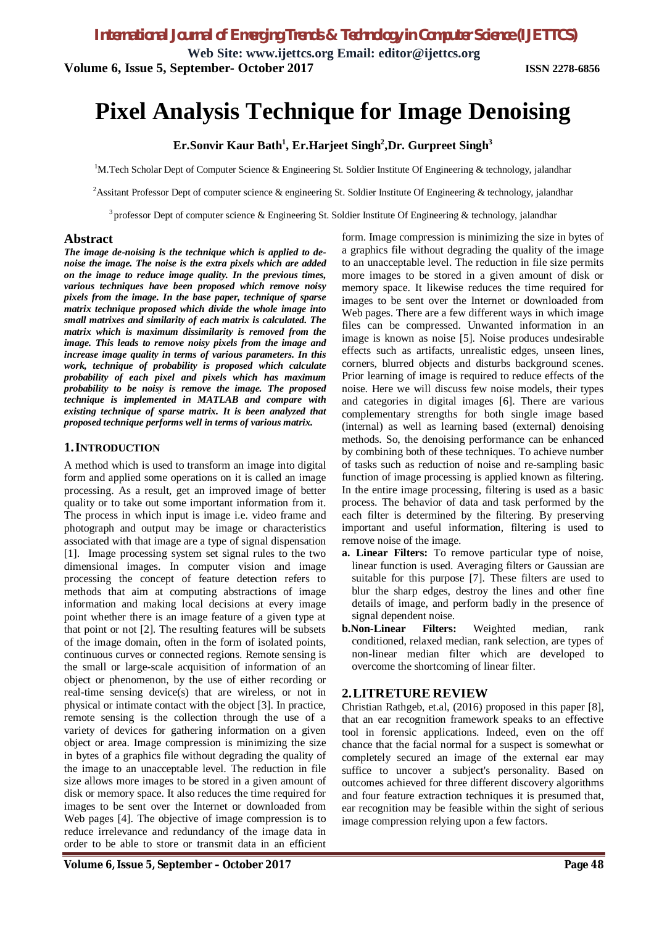**Web Site: www.ijettcs.org Email: editor@ijettcs.org Volume 6, Issue 5, September- October 2017 ISSN 2278-6856**

# **Pixel Analysis Technique for Image Denoising**

**Er.Sonvir Kaur Bath<sup>1</sup> , Er.Harjeet Singh<sup>2</sup> ,Dr. Gurpreet Singh<sup>3</sup>**

<sup>1</sup>M.Tech Scholar Dept of Computer Science & Engineering St. Soldier Institute Of Engineering & technology, jalandhar

<sup>2</sup>Assitant Professor Dept of computer science & engineering St. Soldier Institute Of Engineering & technology, jalandhar

<sup>3</sup> professor Dept of computer science & Engineering St. Soldier Institute Of Engineering & technology, jalandhar

## **Abstract**

*The image de-noising is the technique which is applied to denoise the image. The noise is the extra pixels which are added on the image to reduce image quality. In the previous times, various techniques have been proposed which remove noisy pixels from the image. In the base paper, technique of sparse matrix technique proposed which divide the whole image into small matrixes and similarity of each matrix is calculated. The matrix which is maximum dissimilarity is removed from the image. This leads to remove noisy pixels from the image and increase image quality in terms of various parameters. In this work, technique of probability is proposed which calculate probability of each pixel and pixels which has maximum probability to be noisy is remove the image. The proposed technique is implemented in MATLAB and compare with existing technique of sparse matrix. It is been analyzed that proposed technique performs well in terms of various matrix.*

## **1.INTRODUCTION**

A method which is used to transform an image into digital form and applied some operations on it is called an image processing. As a result, get an improved image of better quality or to take out some important information from it. The process in which input is image i.e. video frame and photograph and output may be image or characteristics associated with that image are a type of signal dispensation [1]. Image processing system set signal rules to the two dimensional images. In computer vision and image processing the concept of feature detection refers to methods that aim at computing abstractions of image information and making local decisions at every image point whether there is an image feature of a given type at that point or not [2]. The resulting features will be subsets of the image domain, often in the form of isolated points, continuous curves or connected regions. Remote sensing is the small or large-scale acquisition of information of an object or phenomenon, by the use of either recording or real-time sensing device(s) that are wireless, or not in physical or intimate contact with the object [3]. In practice, remote sensing is the collection through the use of a variety of devices for gathering information on a given object or area. Image compression is minimizing the size in bytes of a graphics file without degrading the quality of the image to an unacceptable level. The reduction in file size allows more images to be stored in a given amount of disk or memory space. It also reduces the time required for images to be sent over the Internet or downloaded from Web pages [4]. The objective of image compression is to reduce irrelevance and redundancy of the image data in order to be able to store or transmit data in an efficient

form. Image compression is minimizing the size in bytes of a graphics file without degrading the quality of the image to an unacceptable level. The reduction in file size permits more images to be stored in a given amount of disk or memory space. It likewise reduces the time required for images to be sent over the Internet or downloaded from Web pages. There are a few different ways in which image files can be compressed. Unwanted information in an image is known as noise [5]. Noise produces undesirable effects such as artifacts, unrealistic edges, unseen lines, corners, blurred objects and disturbs background scenes. Prior learning of image is required to reduce effects of the noise. Here we will discuss few noise models, their types and categories in digital images [6]. There are various complementary strengths for both single image based (internal) as well as learning based (external) denoising methods. So, the denoising performance can be enhanced by combining both of these techniques. To achieve number of tasks such as reduction of noise and re-sampling basic function of image processing is applied known as filtering. In the entire image processing, filtering is used as a basic process. The behavior of data and task performed by the each filter is determined by the filtering. By preserving important and useful information, filtering is used to remove noise of the image.

- **a. Linear Filters:** To remove particular type of noise, linear function is used. Averaging filters or Gaussian are suitable for this purpose [7]. These filters are used to blur the sharp edges, destroy the lines and other fine details of image, and perform badly in the presence of signal dependent noise.
- **b.Non-Linear Filters:** Weighted median, rank conditioned, relaxed median, rank selection, are types of non-linear median filter which are developed to overcome the shortcoming of linear filter.

## **2.LITRETURE REVIEW**

Christian Rathgeb, et.al, (2016) proposed in this paper [8], that an ear recognition framework speaks to an effective tool in forensic applications. Indeed, even on the off chance that the facial normal for a suspect is somewhat or completely secured an image of the external ear may suffice to uncover a subject's personality. Based on outcomes achieved for three different discovery algorithms and four feature extraction techniques it is presumed that, ear recognition may be feasible within the sight of serious image compression relying upon a few factors.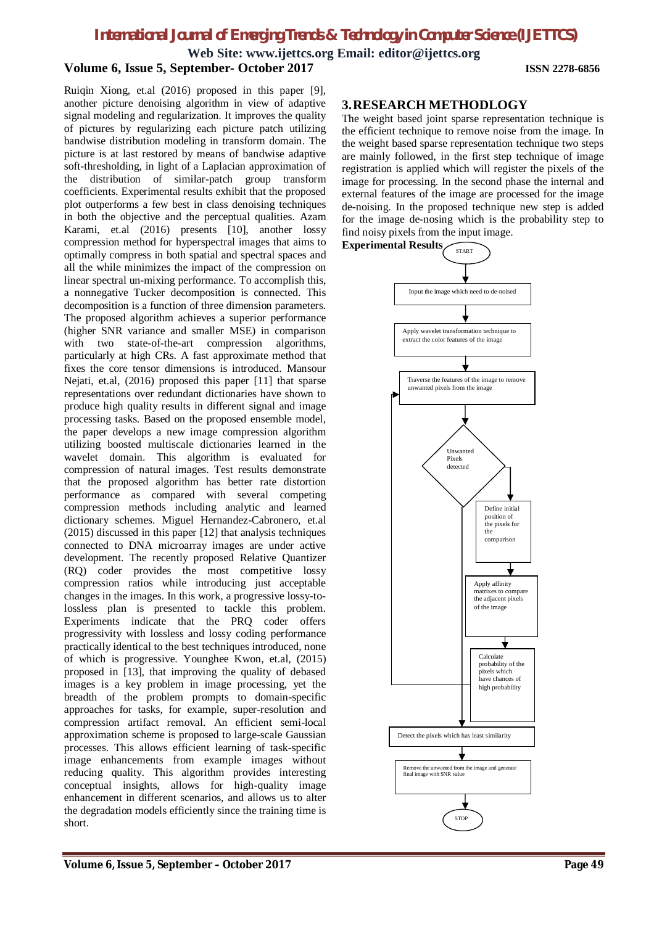**Web Site: www.ijettcs.org Email: editor@ijettcs.org**

## **Volume 6, Issue 5, September- October 2017 ISSN 2278-6856**

Ruiqin Xiong, et.al (2016) proposed in this paper [9], another picture denoising algorithm in view of adaptive signal modeling and regularization. It improves the quality of pictures by regularizing each picture patch utilizing bandwise distribution modeling in transform domain. The picture is at last restored by means of bandwise adaptive soft-thresholding, in light of a Laplacian approximation of the distribution of similar-patch group transform coefficients. Experimental results exhibit that the proposed plot outperforms a few best in class denoising techniques in both the objective and the perceptual qualities. Azam Karami, et.al (2016) presents [10], another lossy compression method for hyperspectral images that aims to optimally compress in both spatial and spectral spaces and all the while minimizes the impact of the compression on linear spectral un-mixing performance. To accomplish this, a nonnegative Tucker decomposition is connected. This decomposition is a function of three dimension parameters. The proposed algorithm achieves a superior performance (higher SNR variance and smaller MSE) in comparison with two state-of-the-art compression algorithms, particularly at high CRs. A fast approximate method that fixes the core tensor dimensions is introduced. Mansour Nejati, et.al, (2016) proposed this paper [11] that sparse representations over redundant dictionaries have shown to produce high quality results in different signal and image processing tasks. Based on the proposed ensemble model, the paper develops a new image compression algorithm utilizing boosted multiscale dictionaries learned in the wavelet domain. This algorithm is evaluated for compression of natural images. Test results demonstrate that the proposed algorithm has better rate distortion performance as compared with several competing compression methods including analytic and learned dictionary schemes. Miguel Hernandez-Cabronero, et.al (2015) discussed in this paper [12] that analysis techniques connected to DNA microarray images are under active development. The recently proposed Relative Quantizer (RQ) coder provides the most competitive lossy compression ratios while introducing just acceptable changes in the images. In this work, a progressive lossy-tolossless plan is presented to tackle this problem. Experiments indicate that the PRQ coder offers progressivity with lossless and lossy coding performance practically identical to the best techniques introduced, none of which is progressive. Younghee Kwon, et.al, (2015) proposed in [13], that improving the quality of debased images is a key problem in image processing, yet the breadth of the problem prompts to domain-specific approaches for tasks, for example, super-resolution and compression artifact removal. An efficient semi-local approximation scheme is proposed to large-scale Gaussian processes. This allows efficient learning of task-specific image enhancements from example images without reducing quality. This algorithm provides interesting conceptual insights, allows for high-quality image enhancement in different scenarios, and allows us to alter the degradation models efficiently since the training time is short.

### **3.RESEARCH METHODLOGY**

The weight based joint sparse representation technique is the efficient technique to remove noise from the image. In the weight based sparse representation technique two steps are mainly followed, in the first step technique of image registration is applied which will register the pixels of the image for processing. In the second phase the internal and external features of the image are processed for the image de-noising. In the proposed technique new step is added for the image de-nosing which is the probability step to find noisy pixels from the input image.

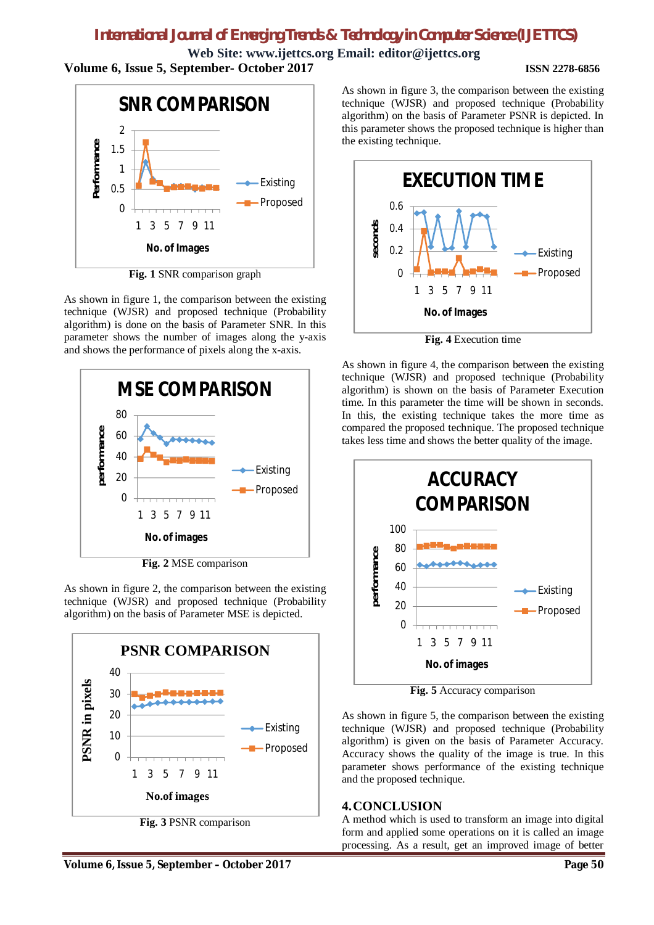**Web Site: www.ijettcs.org Email: editor@ijettcs.org Volume 6, Issue 5, September- October 2017 ISSN 2278-6856**



**Fig. 1** SNR comparison graph

As shown in figure 1, the comparison between the existing technique (WJSR) and proposed technique (Probability algorithm) is done on the basis of Parameter SNR. In this parameter shows the number of images along the y-axis and shows the performance of pixels along the x-axis.



**Fig. 2** MSE comparison

As shown in figure 2, the comparison between the existing technique (WJSR) and proposed technique (Probability algorithm) on the basis of Parameter MSE is depicted.



**Fig. 3** PSNR comparison

As shown in figure 3, the comparison between the existing technique (WJSR) and proposed technique (Probability algorithm) on the basis of Parameter PSNR is depicted. In this parameter shows the proposed technique is higher than the existing technique.



**Fig. 4** Execution time

As shown in figure 4, the comparison between the existing technique (WJSR) and proposed technique (Probability algorithm) is shown on the basis of Parameter Execution time. In this parameter the time will be shown in seconds. In this, the existing technique takes the more time as compared the proposed technique. The proposed technique takes less time and shows the better quality of the image.



**Fig. 5** Accuracy comparison

As shown in figure 5, the comparison between the existing technique (WJSR) and proposed technique (Probability algorithm) is given on the basis of Parameter Accuracy. Accuracy shows the quality of the image is true. In this parameter shows performance of the existing technique and the proposed technique.

## **4.CONCLUSION**

A method which is used to transform an image into digital form and applied some operations on it is called an image processing. As a result, get an improved image of better